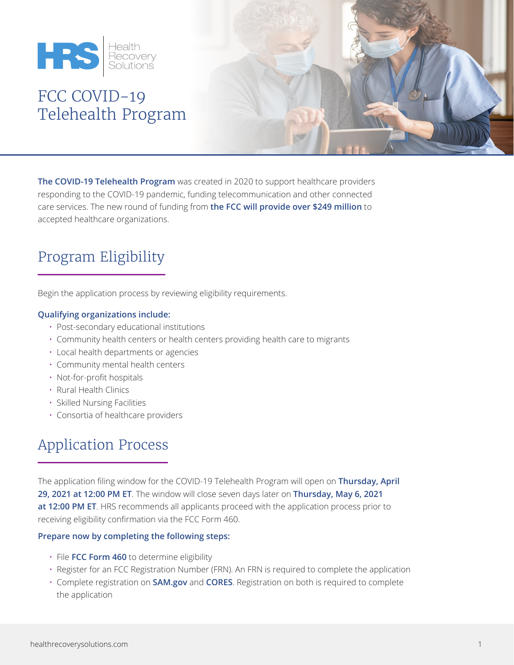

# FCC COVID-19 Telehealth Program



**The COVID-19 Telehealth Program** was created in 2020 to support healthcare providers responding to the COVID-19 pandemic, funding telecommunication and other connected care services. The new round of funding from **the FCC will provide over \$249 million** to accepted healthcare organizations.

## Program Eligibility

Begin the application process by reviewing eligibility requirements.

#### **Qualifying organizations include:**

- Post-secondary educational institutions
- Community health centers or health centers providing health care to migrants
- Local health departments or agencies
- Community mental health centers
- Not-for-profit hospitals
- Rural Health Clinics
- Skilled Nursing Facilities
- Consortia of healthcare providers

### Application Process

The application filing window for the COVID-19 Telehealth Program will open on **Thursday, April 29, 2021 at 12:00 PM ET**. The window will close seven days later on **Thursday, May 6, 2021 at 12:00 PM ET**. HRS recommends all applicants proceed with the application process prior to receiving eligibility confirmation via the FCC Form 460.

#### **Prepare now by completing the following steps:**

- File **[FCC Form 460](https://www.fcc.gov/document/fcc-form-460-form-and-instructions)** to determine eligibility
- Register for an FCC Registration Number (FRN). An FRN is required to complete the application
- Complete registration on **[SAM.gov](https://sam.gov/SAM/)** and **[CORES](https://www.fcc.gov/licensing-databases/commission-registration-system-fcc)**. Registration on both is required to complete the application